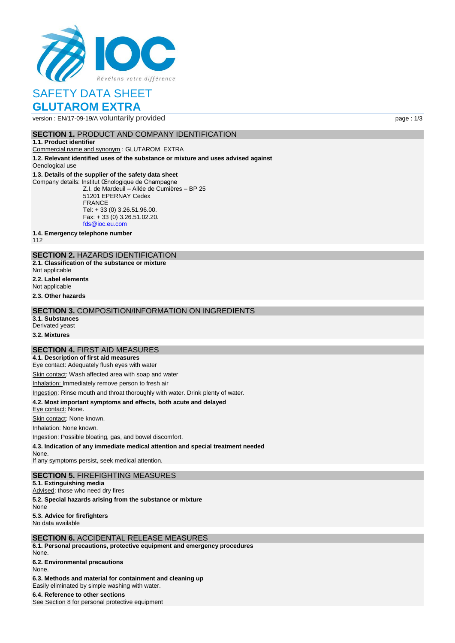

# SAFETY DATA SHEET

# **GLUTAROM EXTRA**

version : EN/17-09-19/A voluntarily provided page : 1/3

#### **SECTION 1. PRODUCT AND COMPANY IDENTIFICATION**

**1.1. Product identifier**

Commercial name and synonym : GLUTAROM EXTRA

**1.2. Relevant identified uses of the substance or mixture and uses advised against** Oenological use

#### **1.3. Details of the supplier of the safety data sheet**

Company details: Institut Œnologique de Champagne Z.I. de Mardeuil – Allée de Cumières – BP 25 51201 EPERNAY Cedex FRANCE Tel: + 33 (0) 3.26.51.96.00. Fax: + 33 (0) 3.26.51.02.20. [fds@ioc.eu.com](mailto:fds@ioc.eu.com)

**1.4. Emergency telephone number**

112

## **SECTION 2.** HAZARDS IDENTIFICATION

**2.1. Classification of the substance or mixture**

- Not applicable
- **2.2. Label elements**

Not applicable

**2.3. Other hazards**

#### **SECTION 3.** COMPOSITION/INFORMATION ON INGREDIENTS

**3.1. Substances** Derivated yeast

**3.2. Mixtures**

#### **SECTION 4.** FIRST AID MEASURES

**4.1. Description of first aid measures**

Eye contact: Adequately flush eyes with water

Skin contact: Wash affected area with soap and water

Inhalation: Immediately remove person to fresh air

Ingestion: Rinse mouth and throat thoroughly with water. Drink plenty of water.

#### **4.2. Most important symptoms and effects, both acute and delayed**

Eye contact: None.

Skin contact: None known.

Inhalation: None known.

Ingestion: Possible bloating, gas, and bowel discomfort.

**4.3. Indication of any immediate medical attention and special treatment needed**

None. If any symptoms persist, seek medical attention.

#### **SECTION 5.** FIREFIGHTING MEASURES

**5.1. Extinguishing media** Advised: those who need dry fires **5.2. Special hazards arising from the substance or mixture** None **5.3. Advice for firefighters** No data available

## **SECTION 6.** ACCIDENTAL RELEASE MEASURES

**6.1. Personal precautions, protective equipment and emergency procedures** None.

**6.2. Environmental precautions** None.

**6.3. Methods and material for containment and cleaning up**

Easily eliminated by simple washing with water.

**6.4. Reference to other sections**

See Section 8 for personal protective equipment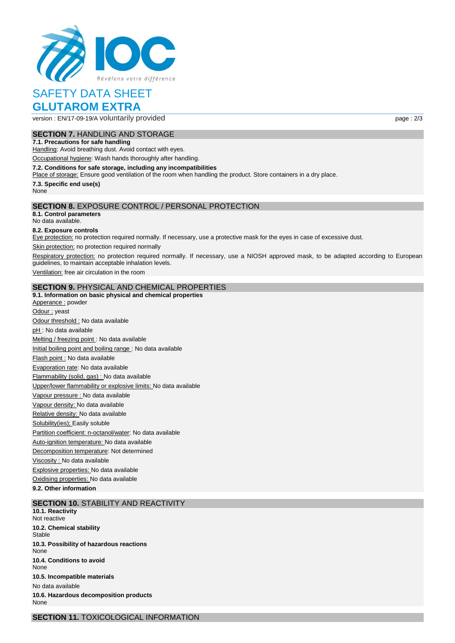

# SAFETY DATA SHEET

# **GLUTAROM EXTRA**

version : EN/17-09-19/A voluntarily provided page : 2/3

**SECTION 7.** HANDLING AND STORAGE

### **7.1. Precautions for safe handling**

Handling: Avoid breathing dust. Avoid contact with eyes.

Occupational hygiene: Wash hands thoroughly after handling.

#### **7.2. Conditions for safe storage, including any incompatibilities**

Place of storage: Ensure good ventilation of the room when handling the product. Store containers in a dry place.

**7.3. Specific end use(s)**

None

#### **SECTION 8.** EXPOSURE CONTROL / PERSONAL PROTECTION

**8.1. Control parameters** No data available.

#### **8.2. Exposure controls**

Eye protection: no protection required normally. If necessary, use a protective mask for the eyes in case of excessive dust.

Skin protection: no protection required normally

Respiratory protection: no protection required normally. If necessary, use a NIOSH approved mask, to be adapted according to European guidelines, to maintain acceptable inhalation levels.

Ventilation: free air circulation in the room

#### **SECTION 9.** PHYSICAL AND CHEMICAL PROPERTIES

#### **9.1. Information on basic physical and chemical properties**

Apperance : powder Odour : yeast Odour threshold : No data available pH : No data available Melting / freezing point : No data available Initial boiling point and boiling range : No data available Flash point : No data available Evaporation rate: No data available Flammability (solid, gas) : No data available Upper/lower flammability or explosive limits: No data available Vapour pressure : No data available Vapour density: No data available Relative density: No data available Solubility(ies); Easily soluble Partition coefficient: n-octanol/water: No data available Auto-ignition temperature: No data available Decomposition temperature: Not determined Viscosity : No data available Explosive properties: No data available Oxidising properties: No data available **9.2. Other information**

#### **SECTION 10.** STABILITY AND REACTIVITY

**10.1. Reactivity** Not reactive **10.2. Chemical stability** Stable **10.3. Possibility of hazardous reactions** None **10.4. Conditions to avoid** None **10.5. Incompatible materials** No data available **10.6. Hazardous decomposition products** None

**SECTION 11.** TOXICOLOGICAL INFORMATION